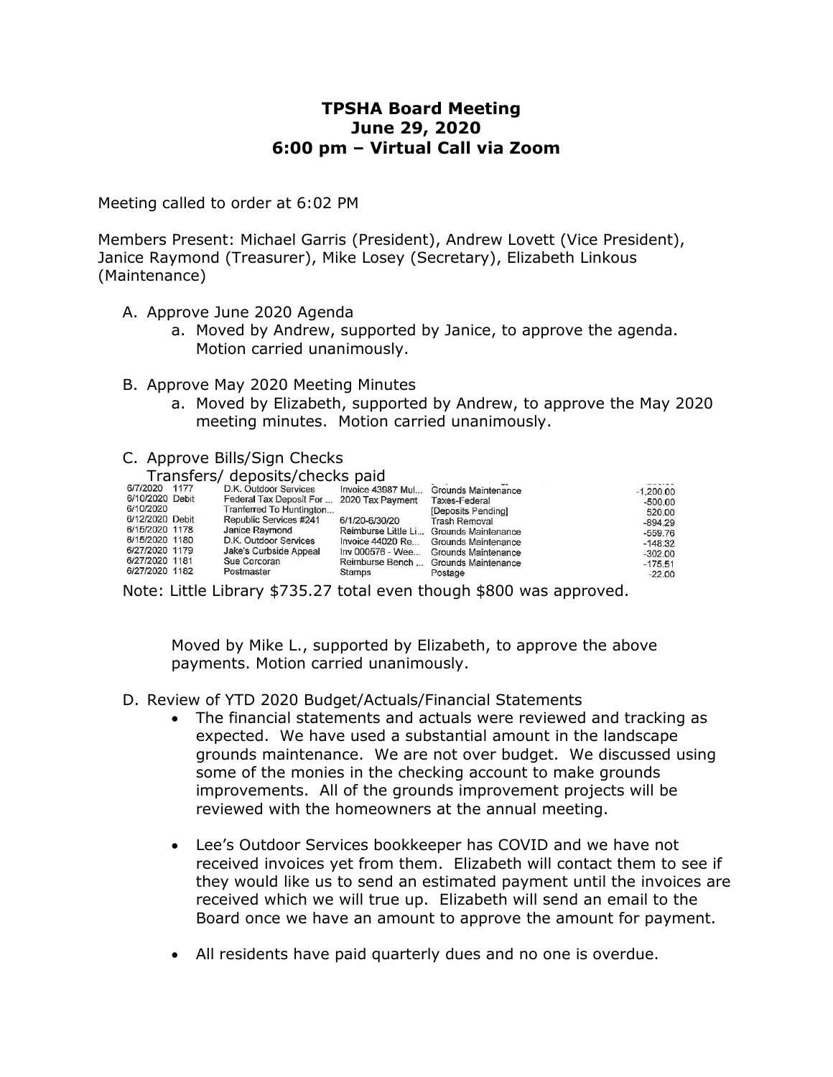# **TPSHA Board Meeting June 29, 2020 6:00 pm – Virtual Call via Zoom**

Meeting called to order at 6:02 PM

Members Present: Michael Garris (President), Andrew Lovett (Vice President), Janice Raymond (Treasurer), Mike Losey (Secretary), Elizabeth Linkous (Maintenance)

- A. Approve June 2020 Agenda
	- a. Moved by Andrew, supported by Janice, to approve the agenda. Motion carried unanimously.
- B. Approve May 2020 Meeting Minutes
	- a. Moved by Elizabeth, supported by Andrew, to approve the May 2020 meeting minutes. Motion carried unanimously.

# C. Approve Bills/Sign Checks

#### Transfers/ deposits/checks paid

| 6/7/2020 1177   | D.K. Outdoor Services                     |                  | Invoice 43987 Mul Grounds Maintenance   | $-1,200,00$ |
|-----------------|-------------------------------------------|------------------|-----------------------------------------|-------------|
| 6/10/2020 Debit | Federal Tax Deposit For  2020 Tax Payment |                  | <b>Taxes-Federal</b>                    | $-500.00$   |
| 6/10/2020       | Tranferred To Huntington                  |                  | [Deposits Pending]                      | 520.00      |
| 6/12/2020 Debit | Republic Services #241                    | 6/1/20-6/30/20   | <b>Trash Removal</b>                    | $-894.29$   |
| 6/15/2020 1178  | Janice Raymond                            |                  | Reimburse Little Li Grounds Maintenance | $-559.76$   |
| 6/15/2020 1180  | D.K. Outdoor Services                     | Invoice 44020 Re | Grounds Maintenance                     | $-148.32$   |
| 6/27/2020 1179  | Jake's Curbside Appeal                    |                  | Inv 000576 - Wee Grounds Maintenance    | $-302.00$   |
| 6/27/2020 1181  | Sue Corcoran                              |                  | Reimburse Bench  Grounds Maintenance    | $-175.51$   |
| 6/27/2020 1182  | Postmaster                                | Stamps           | Postage                                 | $-22.00$    |

Note: Little Library \$735.27 total even though \$800 was approved.

Moved by Mike L., supported by Elizabeth, to approve the above payments. Motion carried unanimously.

- D. Review of YTD 2020 Budget/Actuals/Financial Statements
	- The financial statements and actuals were reviewed and tracking as expected. We have used a substantial amount in the landscape grounds maintenance. We are not over budget. We discussed using some of the monies in the checking account to make grounds improvements. All of the grounds improvement projects will be reviewed with the homeowners at the annual meeting.
	- Lee's Outdoor Services bookkeeper has COVID and we have not received invoices yet from them. Elizabeth will contact them to see if they would like us to send an estimated payment until the invoices are received which we will true up. Elizabeth will send an email to the Board once we have an amount to approve the amount for payment.
	- All residents have paid quarterly dues and no one is overdue.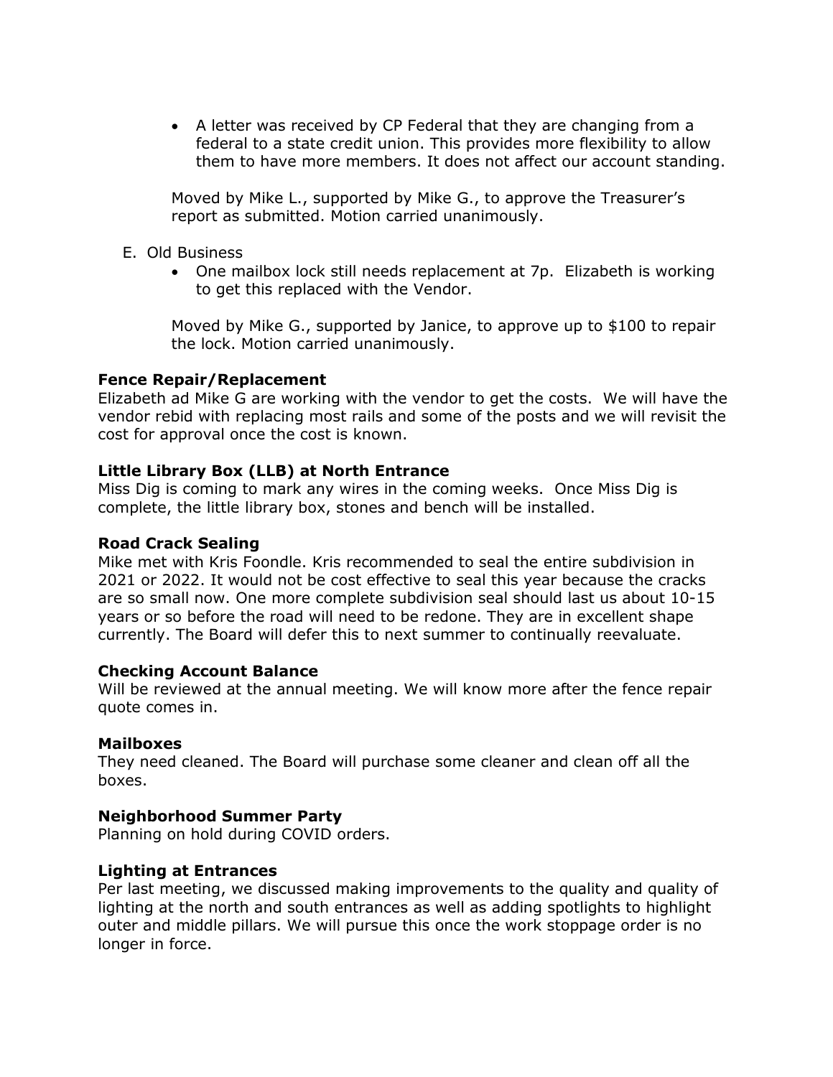A letter was received by CP Federal that they are changing from a federal to a state credit union. This provides more flexibility to allow them to have more members. It does not affect our account standing.

Moved by Mike L., supported by Mike G., to approve the Treasurer's report as submitted. Motion carried unanimously.

- E. Old Business
	- One mailbox lock still needs replacement at 7p. Elizabeth is working to get this replaced with the Vendor.

Moved by Mike G., supported by Janice, to approve up to \$100 to repair the lock. Motion carried unanimously.

# **Fence Repair/Replacement**

Elizabeth ad Mike G are working with the vendor to get the costs. We will have the vendor rebid with replacing most rails and some of the posts and we will revisit the cost for approval once the cost is known.

# **Little Library Box (LLB) at North Entrance**

Miss Dig is coming to mark any wires in the coming weeks. Once Miss Dig is complete, the little library box, stones and bench will be installed.

### **Road Crack Sealing**

Mike met with Kris Foondle. Kris recommended to seal the entire subdivision in 2021 or 2022. It would not be cost effective to seal this year because the cracks are so small now. One more complete subdivision seal should last us about 10-15 years or so before the road will need to be redone. They are in excellent shape currently. The Board will defer this to next summer to continually reevaluate.

#### **Checking Account Balance**

Will be reviewed at the annual meeting. We will know more after the fence repair quote comes in.

#### **Mailboxes**

They need cleaned. The Board will purchase some cleaner and clean off all the boxes.

# **Neighborhood Summer Party**

Planning on hold during COVID orders.

# **Lighting at Entrances**

Per last meeting, we discussed making improvements to the quality and quality of lighting at the north and south entrances as well as adding spotlights to highlight outer and middle pillars. We will pursue this once the work stoppage order is no longer in force.